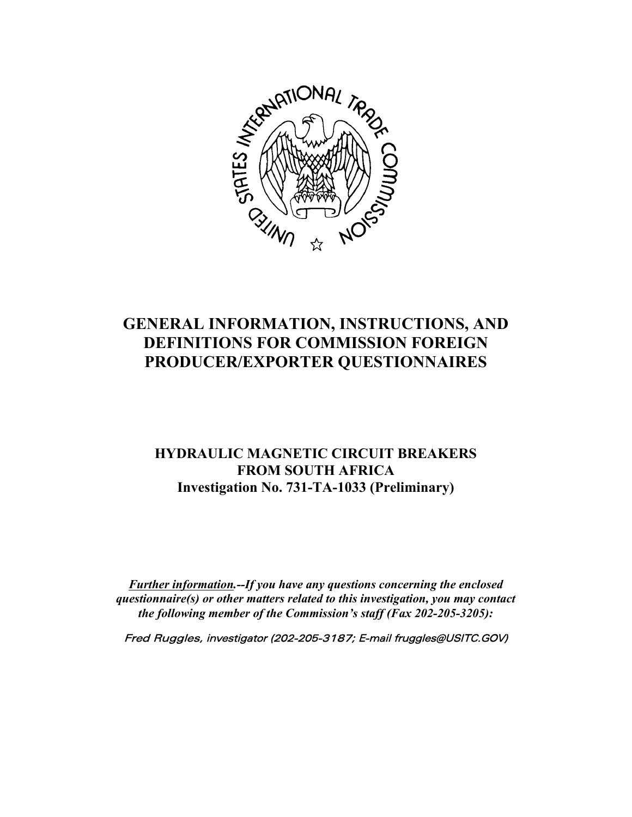

# **GENERAL INFORMATION, INSTRUCTIONS, AND DEFINITIONS FOR COMMISSION FOREIGN PRODUCER/EXPORTER QUESTIONNAIRES**

# **HYDRAULIC MAGNETIC CIRCUIT BREAKERS FROM SOUTH AFRICA Investigation No. 731-TA-1033 (Preliminary)**

*Further information.--If you have any questions concerning the enclosed questionnaire(s) or other matters related to this investigation, you may contact the following member of the Commission's staff (Fax 202-205-3205):*

Fred Ruggles, investigator (202-205-3187; E-mail fruggles@USITC.GOV)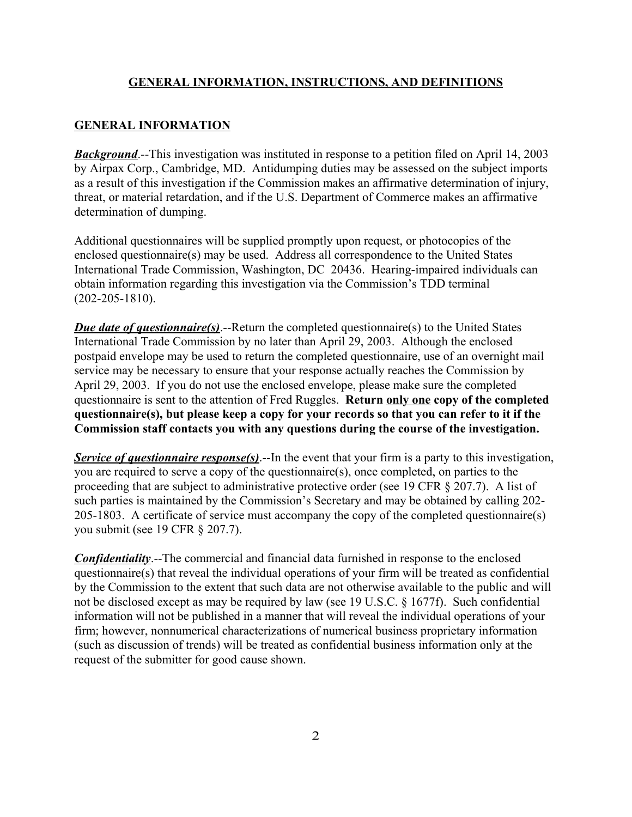#### **GENERAL INFORMATION, INSTRUCTIONS, AND DEFINITIONS**

#### **GENERAL INFORMATION**

*Background*.--This investigation was instituted in response to a petition filed on April 14, 2003 by Airpax Corp., Cambridge, MD. Antidumping duties may be assessed on the subject imports as a result of this investigation if the Commission makes an affirmative determination of injury, threat, or material retardation, and if the U.S. Department of Commerce makes an affirmative determination of dumping.

Additional questionnaires will be supplied promptly upon request, or photocopies of the enclosed questionnaire(s) may be used. Address all correspondence to the United States International Trade Commission, Washington, DC 20436. Hearing-impaired individuals can obtain information regarding this investigation via the Commission's TDD terminal (202-205-1810).

*Due date of questionnaire(s)*.--Return the completed questionnaire(s) to the United States International Trade Commission by no later than April 29, 2003. Although the enclosed postpaid envelope may be used to return the completed questionnaire, use of an overnight mail service may be necessary to ensure that your response actually reaches the Commission by April 29, 2003. If you do not use the enclosed envelope, please make sure the completed questionnaire is sent to the attention of Fred Ruggles. **Return only one copy of the completed questionnaire(s), but please keep a copy for your records so that you can refer to it if the Commission staff contacts you with any questions during the course of the investigation.**

*Service of questionnaire response(s)*.--In the event that your firm is a party to this investigation, you are required to serve a copy of the questionnaire(s), once completed, on parties to the proceeding that are subject to administrative protective order (see 19 CFR § 207.7). A list of such parties is maintained by the Commission's Secretary and may be obtained by calling 202- 205-1803. A certificate of service must accompany the copy of the completed questionnaire(s) you submit (see 19 CFR § 207.7).

*Confidentiality*.--The commercial and financial data furnished in response to the enclosed questionnaire(s) that reveal the individual operations of your firm will be treated as confidential by the Commission to the extent that such data are not otherwise available to the public and will not be disclosed except as may be required by law (see 19 U.S.C. § 1677f). Such confidential information will not be published in a manner that will reveal the individual operations of your firm; however, nonnumerical characterizations of numerical business proprietary information (such as discussion of trends) will be treated as confidential business information only at the request of the submitter for good cause shown.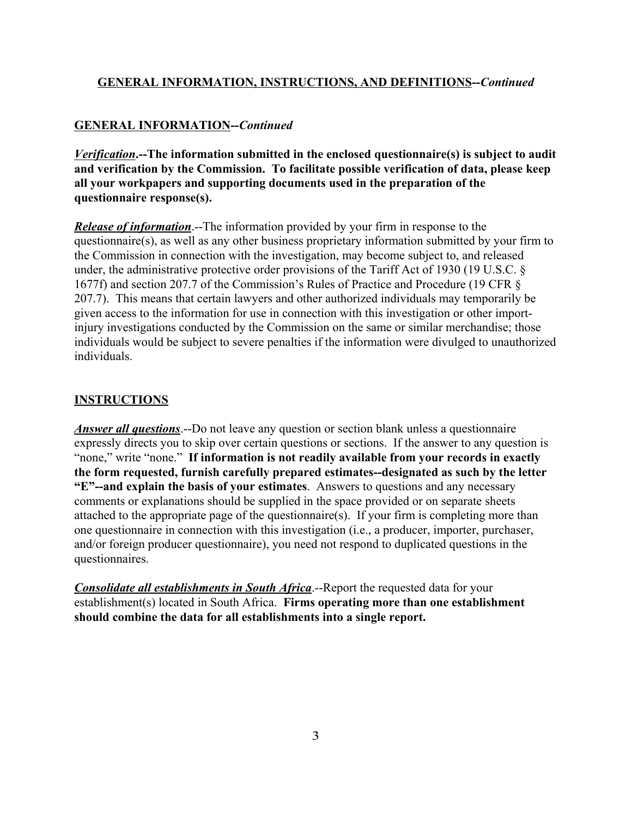#### **GENERAL INFORMATION, INSTRUCTIONS, AND DEFINITIONS--***Continued*

#### **GENERAL INFORMATION--***Continued*

*Verification***.--The information submitted in the enclosed questionnaire(s) is subject to audit and verification by the Commission. To facilitate possible verification of data, please keep all your workpapers and supporting documents used in the preparation of the questionnaire response(s).**

*Release of information*.--The information provided by your firm in response to the questionnaire(s), as well as any other business proprietary information submitted by your firm to the Commission in connection with the investigation, may become subject to, and released under, the administrative protective order provisions of the Tariff Act of 1930 (19 U.S.C. § 1677f) and section 207.7 of the Commission's Rules of Practice and Procedure (19 CFR § 207.7). This means that certain lawyers and other authorized individuals may temporarily be given access to the information for use in connection with this investigation or other importinjury investigations conducted by the Commission on the same or similar merchandise; those individuals would be subject to severe penalties if the information were divulged to unauthorized individuals.

#### **INSTRUCTIONS**

*Answer all questions*.--Do not leave any question or section blank unless a questionnaire expressly directs you to skip over certain questions or sections. If the answer to any question is "none," write "none." **If information is not readily available from your records in exactly the form requested, furnish carefully prepared estimates--designated as such by the letter "E"--and explain the basis of your estimates**. Answers to questions and any necessary comments or explanations should be supplied in the space provided or on separate sheets attached to the appropriate page of the questionnaire(s). If your firm is completing more than one questionnaire in connection with this investigation (i.e., a producer, importer, purchaser, and/or foreign producer questionnaire), you need not respond to duplicated questions in the questionnaires.

*Consolidate all establishments in South Africa*.--Report the requested data for your establishment(s) located in South Africa. **Firms operating more than one establishment should combine the data for all establishments into a single report.**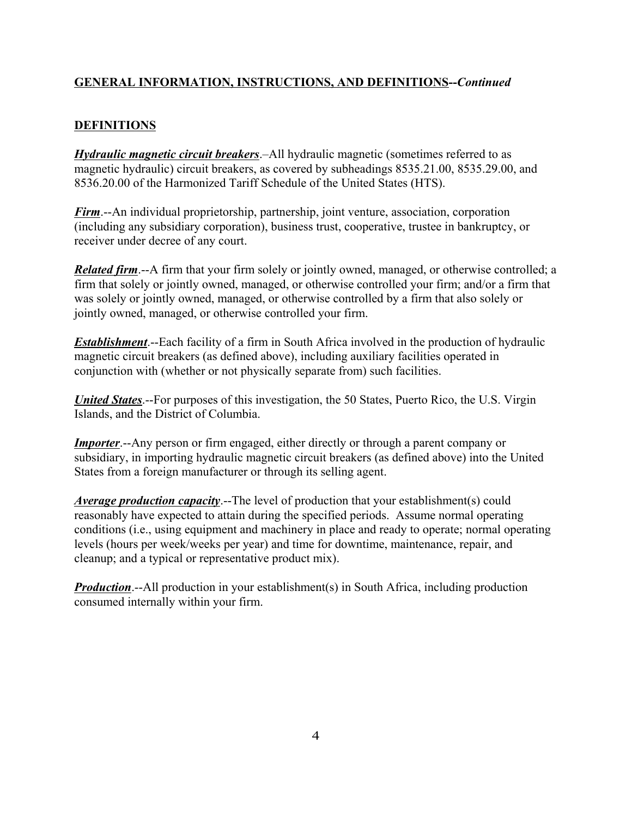# **GENERAL INFORMATION, INSTRUCTIONS, AND DEFINITIONS--***Continued*

# **DEFINITIONS**

*Hydraulic magnetic circuit breakers*.–All hydraulic magnetic (sometimes referred to as magnetic hydraulic) circuit breakers, as covered by subheadings 8535.21.00, 8535.29.00, and 8536.20.00 of the Harmonized Tariff Schedule of the United States (HTS).

*Firm*.--An individual proprietorship, partnership, joint venture, association, corporation (including any subsidiary corporation), business trust, cooperative, trustee in bankruptcy, or receiver under decree of any court.

*Related firm.*--A firm that your firm solely or jointly owned, managed, or otherwise controlled; a firm that solely or jointly owned, managed, or otherwise controlled your firm; and/or a firm that was solely or jointly owned, managed, or otherwise controlled by a firm that also solely or jointly owned, managed, or otherwise controlled your firm.

*Establishment*.--Each facility of a firm in South Africa involved in the production of hydraulic magnetic circuit breakers (as defined above), including auxiliary facilities operated in conjunction with (whether or not physically separate from) such facilities.

*United States*.--For purposes of this investigation, the 50 States, Puerto Rico, the U.S. Virgin Islands, and the District of Columbia.

*Importer*.--Any person or firm engaged, either directly or through a parent company or subsidiary, in importing hydraulic magnetic circuit breakers (as defined above) into the United States from a foreign manufacturer or through its selling agent.

*Average production capacity*.--The level of production that your establishment(s) could reasonably have expected to attain during the specified periods. Assume normal operating conditions (i.e., using equipment and machinery in place and ready to operate; normal operating levels (hours per week/weeks per year) and time for downtime, maintenance, repair, and cleanup; and a typical or representative product mix).

*Production*.--All production in your establishment(s) in South Africa, including production consumed internally within your firm.